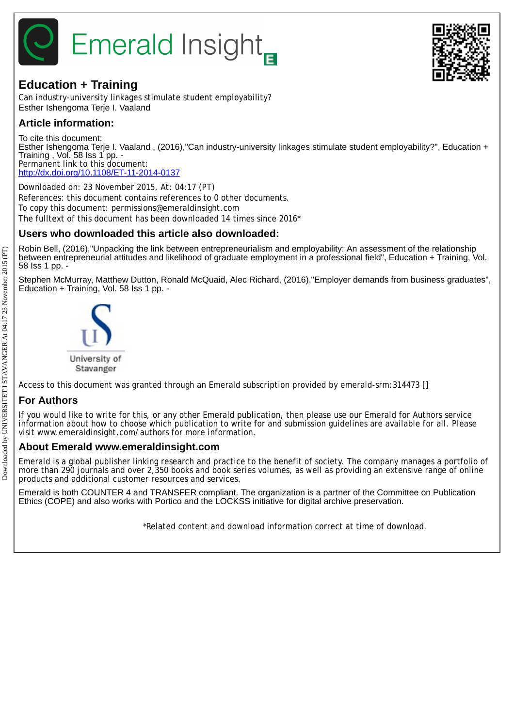



Can industry-university linkages stimulate student employability? Esther Ishengoma Terje I. Vaaland

# **Article information:**

To cite this document: Esther Ishengoma Terje I. Vaaland , (2016),"Can industry-university linkages stimulate student employability?", Education + Training , Vol. 58 Iss 1 pp. - Permanent link to this document: <http://dx.doi.org/10.1108/ET-11-2014-0137>

Downloaded on: 23 November 2015, At: 04:17 (PT) References: this document contains references to 0 other documents. To copy this document: permissions@emeraldinsight.com The fulltext of this document has been downloaded 14 times since 2016\*

# **Users who downloaded this article also downloaded:**

Robin Bell, (2016),"Unpacking the link between entrepreneurialism and employability: An assessment of the relationship between entrepreneurial attitudes and likelihood of graduate employment in a professional field", Education + Training, Vol. 58 Iss 1 pp. -

Stephen McMurray, Matthew Dutton, Ronald McQuaid, Alec Richard, (2016),"Employer demands from business graduates", Education + Training, Vol. 58 Iss 1 pp. -



Access to this document was granted through an Emerald subscription provided by emerald-srm:314473 []

# **For Authors**

If you would like to write for this, or any other Emerald publication, then please use our Emerald for Authors service information about how to choose which publication to write for and submission guidelines are available for all. Please visit www.emeraldinsight.com/authors for more information.

# **About Emerald www.emeraldinsight.com**

Emerald is a global publisher linking research and practice to the benefit of society. The company manages a portfolio of more than 290 journals and over 2,350 books and book series volumes, as well as providing an extensive range of online products and additional customer resources and services.

Emerald is both COUNTER 4 and TRANSFER compliant. The organization is a partner of the Committee on Publication Ethics (COPE) and also works with Portico and the LOCKSS initiative for digital archive preservation.

\*Related content and download information correct at time of download.

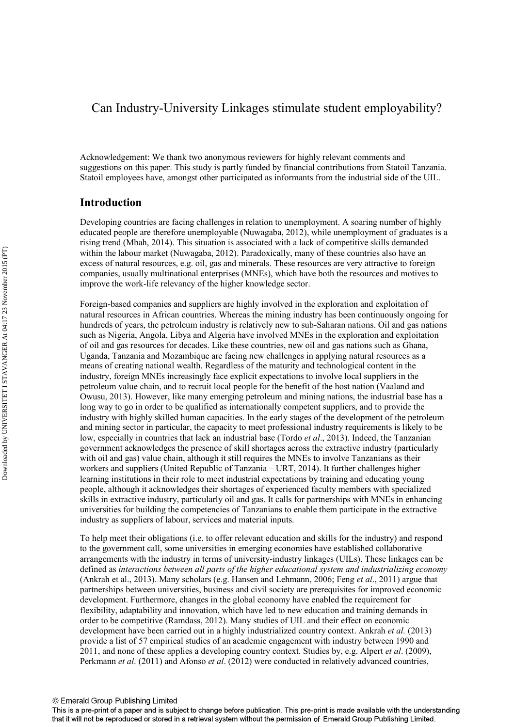# Can Industry-University Linkages stimulate student employability?

Acknowledgement: We thank two anonymous reviewers for highly relevant comments and suggestions on this paper. This study is partly funded by financial contributions from Statoil Tanzania. Statoil employees have, amongst other participated as informants from the industrial side of the UIL.

# **Introduction**

Developing countries are facing challenges in relation to unemployment. A soaring number of highly educated people are therefore unemployable (Nuwagaba, 2012), while unemployment of graduates is a rising trend (Mbah, 2014). This situation is associated with a lack of competitive skills demanded within the labour market (Nuwagaba, 2012). Paradoxically, many of these countries also have an excess of natural resources, e.g. oil, gas and minerals. These resources are very attractive to foreign companies, usually multinational enterprises (MNEs), which have both the resources and motives to improve the work-life relevancy of the higher knowledge sector.

Foreign-based companies and suppliers are highly involved in the exploration and exploitation of natural resources in African countries. Whereas the mining industry has been continuously ongoing for hundreds of years, the petroleum industry is relatively new to sub-Saharan nations. Oil and gas nations such as Nigeria, Angola, Libya and Algeria have involved MNEs in the exploration and exploitation of oil and gas resources for decades. Like these countries, new oil and gas nations such as Ghana, Uganda, Tanzania and Mozambique are facing new challenges in applying natural resources as a means of creating national wealth. Regardless of the maturity and technological content in the industry, foreign MNEs increasingly face explicit expectations to involve local suppliers in the petroleum value chain, and to recruit local people for the benefit of the host nation (Vaaland and Owusu, 2013). However, like many emerging petroleum and mining nations, the industrial base has a long way to go in order to be qualified as internationally competent suppliers, and to provide the industry with highly skilled human capacities. In the early stages of the development of the petroleum and mining sector in particular, the capacity to meet professional industry requirements is likely to be low, especially in countries that lack an industrial base (Tordo *et al*., 2013). Indeed, the Tanzanian government acknowledges the presence of skill shortages across the extractive industry (particularly with oil and gas) value chain, although it still requires the MNEs to involve Tanzanians as their workers and suppliers (United Republic of Tanzania – URT, 2014). It further challenges higher learning institutions in their role to meet industrial expectations by training and educating young people, although it acknowledges their shortages of experienced faculty members with specialized skills in extractive industry, particularly oil and gas. It calls for partnerships with MNEs in enhancing universities for building the competencies of Tanzanians to enable them participate in the extractive industry as suppliers of labour, services and material inputs.

To help meet their obligations (i.e. to offer relevant education and skills for the industry) and respond to the government call, some universities in emerging economies have established collaborative arrangements with the industry in terms of university-industry linkages (UILs). These linkages can be defined as *interactions between all parts of the higher educational system and industrializing economy* (Ankrah et al., 2013). Many scholars (e.g. Hansen and Lehmann, 2006; Feng *et al*., 2011) argue that partnerships between universities, business and civil society are prerequisites for improved economic development. Furthermore, changes in the global economy have enabled the requirement for flexibility, adaptability and innovation, which have led to new education and training demands in order to be competitive (Ramdass, 2012). Many studies of UIL and their effect on economic development have been carried out in a highly industrialized country context. Ankrah *et al.* (2013) provide a list of 57 empirical studies of an academic engagement with industry between 1990 and 2011, and none of these applies a developing country context. Studies by, e.g. Alpert *et al*. (2009), Perkmann *et al*. (2011) and Afonso *et al*. (2012) were conducted in relatively advanced countries,

This is a pre-print of a paper and is subject to change before publication. This pre-print is made available with the understanding that it will not be reproduced or stored in a retrieval system without the permission of Emerald Group Publishing Limited.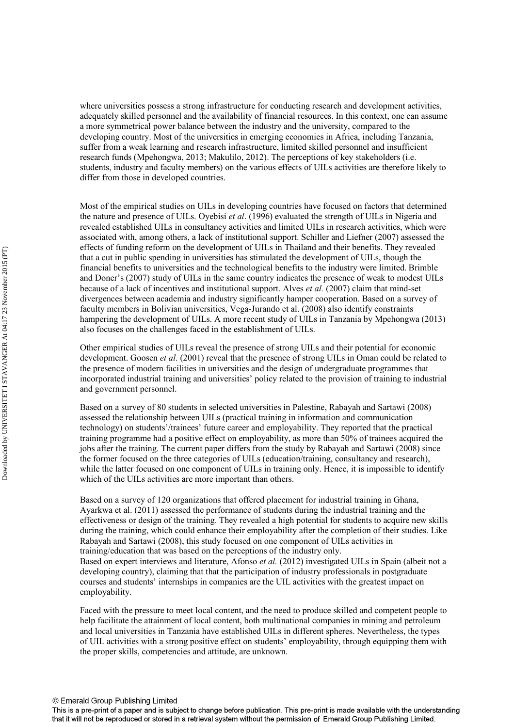where universities possess a strong infrastructure for conducting research and development activities, adequately skilled personnel and the availability of financial resources. In this context, one can assume a more symmetrical power balance between the industry and the university, compared to the developing country. Most of the universities in emerging economies in Africa, including Tanzania, suffer from a weak learning and research infrastructure, limited skilled personnel and insufficient research funds (Mpehongwa, 2013; Makulilo, 2012). The perceptions of key stakeholders (i.e. students, industry and faculty members) on the various effects of UILs activities are therefore likely to differ from those in developed countries.

Most of the empirical studies on UILs in developing countries have focused on factors that determined the nature and presence of UILs. Oyebisi *et al*. (1996) evaluated the strength of UILs in Nigeria and revealed established UILs in consultancy activities and limited UILs in research activities, which were associated with, among others, a lack of institutional support. Schiller and Liefner (2007) assessed the effects of funding reform on the development of UILs in Thailand and their benefits. They revealed that a cut in public spending in universities has stimulated the development of UILs, though the financial benefits to universities and the technological benefits to the industry were limited. Brimble and Doner's (2007) study of UILs in the same country indicates the presence of weak to modest UILs because of a lack of incentives and institutional support. Alves *et al.* (2007) claim that mind-set divergences between academia and industry significantly hamper cooperation. Based on a survey of faculty members in Bolivian universities, Vega-Jurando et al. (2008) also identify constraints hampering the development of UILs. A more recent study of UILs in Tanzania by Mpehongwa (2013) also focuses on the challenges faced in the establishment of UILs.

Other empirical studies of UILs reveal the presence of strong UILs and their potential for economic development. Goosen *et al.* (2001) reveal that the presence of strong UILs in Oman could be related to the presence of modern facilities in universities and the design of undergraduate programmes that incorporated industrial training and universities' policy related to the provision of training to industrial and government personnel.

Based on a survey of 80 students in selected universities in Palestine, Rabayah and Sartawi (2008) assessed the relationship between UILs (practical training in information and communication technology) on students'/trainees' future career and employability. They reported that the practical training programme had a positive effect on employability, as more than 50% of trainees acquired the jobs after the training. The current paper differs from the study by Rabayah and Sartawi (2008) since the former focused on the three categories of UILs (education/training, consultancy and research), while the latter focused on one component of UILs in training only. Hence, it is impossible to identify which of the UILs activities are more important than others.

Based on a survey of 120 organizations that offered placement for industrial training in Ghana, Ayarkwa et al. (2011) assessed the performance of students during the industrial training and the effectiveness or design of the training. They revealed a high potential for students to acquire new skills during the training, which could enhance their employability after the completion of their studies. Like Rabayah and Sartawi (2008), this study focused on one component of UILs activities in training/education that was based on the perceptions of the industry only.

Based on expert interviews and literature, Afonso *et al.* (2012) investigated UILs in Spain (albeit not a developing country), claiming that that the participation of industry professionals in postgraduate courses and students' internships in companies are the UIL activities with the greatest impact on employability.

Faced with the pressure to meet local content, and the need to produce skilled and competent people to help facilitate the attainment of local content, both multinational companies in mining and petroleum and local universities in Tanzania have established UILs in different spheres. Nevertheless, the types of UIL activities with a strong positive effect on students' employability, through equipping them with the proper skills, competencies and attitude, are unknown.

This is a pre-print of a paper and is subject to change before publication. This pre-print is made available with the understanding that it will not be reproduced or stored in a retrieval system without the permission of Emerald Group Publishing Limited.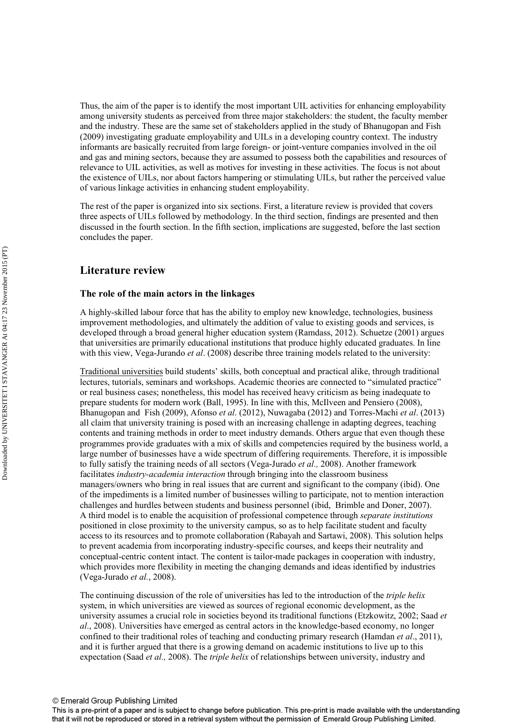Thus, the aim of the paper is to identify the most important UIL activities for enhancing employability among university students as perceived from three major stakeholders: the student, the faculty member and the industry. These are the same set of stakeholders applied in the study of Bhanugopan and Fish (2009) investigating graduate employability and UILs in a developing country context. The industry informants are basically recruited from large foreign- or joint-venture companies involved in the oil and gas and mining sectors, because they are assumed to possess both the capabilities and resources of relevance to UIL activities, as well as motives for investing in these activities. The focus is not about the existence of UILs, nor about factors hampering or stimulating UILs, but rather the perceived value of various linkage activities in enhancing student employability.

The rest of the paper is organized into six sections. First, a literature review is provided that covers three aspects of UILs followed by methodology. In the third section, findings are presented and then discussed in the fourth section. In the fifth section, implications are suggested, before the last section concludes the paper.

# **Literature review**

# **The role of the main actors in the linkages**

A highly-skilled labour force that has the ability to employ new knowledge, technologies, business improvement methodologies, and ultimately the addition of value to existing goods and services, is developed through a broad general higher education system (Ramdass, 2012). Schuetze (2001) argues that universities are primarily educational institutions that produce highly educated graduates. In line with this view, Vega-Jurando *et al.* (2008) describe three training models related to the university:

Traditional universities build students' skills, both conceptual and practical alike, through traditional lectures, tutorials, seminars and workshops. Academic theories are connected to "simulated practice" or real business cases; nonetheless, this model has received heavy criticism as being inadequate to prepare students for modern work (Ball, 1995). In line with this, McIlveen and Pensiero (2008), Bhanugopan and Fish (2009), Afonso *et al*. (2012), Nuwagaba (2012) and Torres-Machi *et al*. (2013) all claim that university training is posed with an increasing challenge in adapting degrees, teaching contents and training methods in order to meet industry demands. Others argue that even though these programmes provide graduates with a mix of skills and competencies required by the business world, a large number of businesses have a wide spectrum of differing requirements. Therefore, it is impossible to fully satisfy the training needs of all sectors (Vega-Jurado *et al.,* 2008). Another framework facilitates *industry-academia interaction* through bringing into the classroom business managers/owners who bring in real issues that are current and significant to the company (ibid). One of the impediments is a limited number of businesses willing to participate, not to mention interaction challenges and hurdles between students and business personnel (ibid, Brimble and Doner, 2007). A third model is to enable the acquisition of professional competence through *separate institutions* positioned in close proximity to the university campus, so as to help facilitate student and faculty access to its resources and to promote collaboration (Rabayah and Sartawi, 2008). This solution helps to prevent academia from incorporating industry-specific courses, and keeps their neutrality and conceptual-centric content intact. The content is tailor-made packages in cooperation with industry, which provides more flexibility in meeting the changing demands and ideas identified by industries (Vega-Jurado *et al.*, 2008).

The continuing discussion of the role of universities has led to the introduction of the *triple helix* system, in which universities are viewed as sources of regional economic development, as the university assumes a crucial role in societies beyond its traditional functions (Etzkowitz, 2002; Saad *et al*., 2008). Universities have emerged as central actors in the knowledge-based economy, no longer confined to their traditional roles of teaching and conducting primary research (Hamdan *et al*., 2011), and it is further argued that there is a growing demand on academic institutions to live up to this expectation (Saad *et al.,* 2008). The *triple helix* of relationships between university, industry and

© Emerald Group Publishing Limited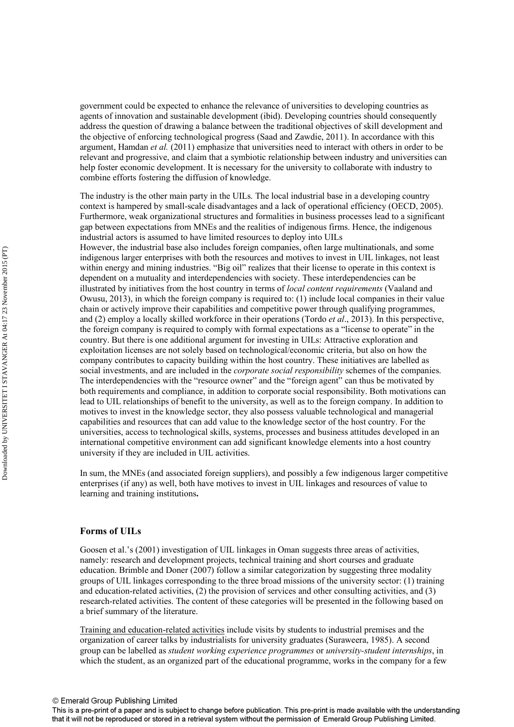government could be expected to enhance the relevance of universities to developing countries as agents of innovation and sustainable development (ibid). Developing countries should consequently address the question of drawing a balance between the traditional objectives of skill development and the objective of enforcing technological progress (Saad and Zawdie, 2011). In accordance with this argument, Hamdan *et al.* (2011) emphasize that universities need to interact with others in order to be relevant and progressive, and claim that a symbiotic relationship between industry and universities can help foster economic development. It is necessary for the university to collaborate with industry to combine efforts fostering the diffusion of knowledge.

The industry is the other main party in the UILs. The local industrial base in a developing country context is hampered by small-scale disadvantages and a lack of operational efficiency (OECD, 2005). Furthermore, weak organizational structures and formalities in business processes lead to a significant gap between expectations from MNEs and the realities of indigenous firms. Hence, the indigenous industrial actors is assumed to have limited resources to deploy into UILs However, the industrial base also includes foreign companies, often large multinationals, and some indigenous larger enterprises with both the resources and motives to invest in UIL linkages, not least within energy and mining industries. "Big oil" realizes that their license to operate in this context is dependent on a mutuality and interdependencies with society. These interdependencies can be illustrated by initiatives from the host country in terms of *local content requirements* (Vaaland and Owusu, 2013), in which the foreign company is required to: (1) include local companies in their value chain or actively improve their capabilities and competitive power through qualifying programmes, and (2) employ a locally skilled workforce in their operations (Tordo *et al*., 2013). In this perspective, the foreign company is required to comply with formal expectations as a "license to operate" in the country. But there is one additional argument for investing in UILs: Attractive exploration and exploitation licenses are not solely based on technological/economic criteria, but also on how the company contributes to capacity building within the host country. These initiatives are labelled as social investments, and are included in the *corporate social responsibility* schemes of the companies. The interdependencies with the "resource owner" and the "foreign agent" can thus be motivated by both requirements and compliance, in addition to corporate social responsibility. Both motivations can lead to UIL relationships of benefit to the university, as well as to the foreign company. In addition to motives to invest in the knowledge sector, they also possess valuable technological and managerial capabilities and resources that can add value to the knowledge sector of the host country. For the universities, access to technological skills, systems, processes and business attitudes developed in an international competitive environment can add significant knowledge elements into a host country university if they are included in UIL activities.

In sum, the MNEs (and associated foreign suppliers), and possibly a few indigenous larger competitive enterprises (if any) as well, both have motives to invest in UIL linkages and resources of value to learning and training institutions**.** 

### **Forms of UILs**

Goosen et al.'s (2001) investigation of UIL linkages in Oman suggests three areas of activities, namely: research and development projects, technical training and short courses and graduate education. Brimble and Doner (2007) follow a similar categorization by suggesting three modality groups of UIL linkages corresponding to the three broad missions of the university sector: (1) training and education-related activities, (2) the provision of services and other consulting activities, and (3) research-related activities. The content of these categories will be presented in the following based on a brief summary of the literature.

Training and education-related activities include visits by students to industrial premises and the organization of career talks by industrialists for university graduates (Suraweera, 1985). A second group can be labelled as *student working experience programmes* or *university-student internships*, in which the student, as an organized part of the educational programme, works in the company for a few

This is a pre-print of a paper and is subject to change before publication. This pre-print is made available with the understanding that it will not be reproduced or stored in a retrieval system without the permission of Emerald Group Publishing Limited.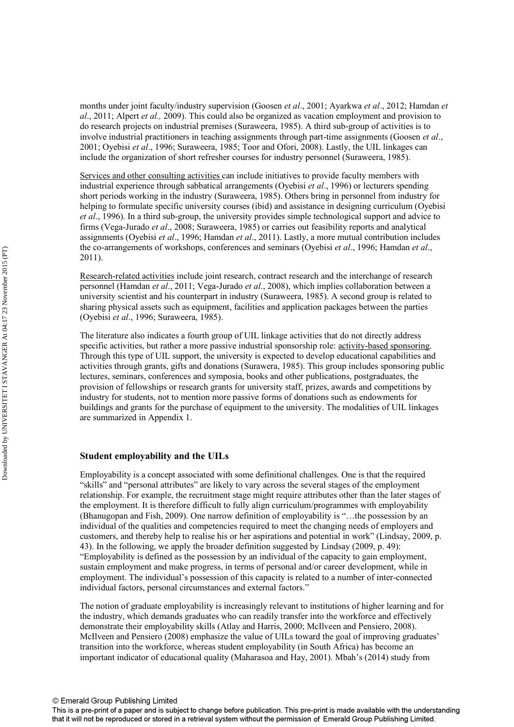months under joint faculty/industry supervision (Goosen *et al*., 2001; Ayarkwa *et al*., 2012; Hamdan *et al*., 2011; Alpert *et al.,* 2009). This could also be organized as vacation employment and provision to do research projects on industrial premises (Suraweera, 1985). A third sub-group of activities is to involve industrial practitioners in teaching assignments through part-time assignments (Goosen *et al*., 2001; Oyebisi *et al*., 1996; Suraweera, 1985; Toor and Ofori, 2008). Lastly, the UIL linkages can include the organization of short refresher courses for industry personnel (Suraweera, 1985).

Services and other consulting activities can include initiatives to provide faculty members with industrial experience through sabbatical arrangements (Oyebisi *et al*., 1996) or lecturers spending short periods working in the industry (Suraweera, 1985). Others bring in personnel from industry for helping to formulate specific university courses (ibid) and assistance in designing curriculum (Oyebisi *et al*., 1996). In a third sub-group, the university provides simple technological support and advice to firms (Vega-Jurado *et al*., 2008; Suraweera, 1985) or carries out feasibility reports and analytical assignments (Oyebisi *et al*., 1996; Hamdan *et al*., 2011). Lastly, a more mutual contribution includes the co-arrangements of workshops, conferences and seminars (Oyebisi *et al*., 1996; Hamdan *et al*., 2011).

Research-related activities include joint research, contract research and the interchange of research personnel (Hamdan *et al*., 2011; Vega-Jurado *et al*., 2008), which implies collaboration between a university scientist and his counterpart in industry (Suraweera, 1985). A second group is related to sharing physical assets such as equipment, facilities and application packages between the parties (Oyebisi *et al*., 1996; Suraweera, 1985).

The literature also indicates a fourth group of UIL linkage activities that do not directly address specific activities, but rather a more passive industrial sponsorship role: activity-based sponsoring. Through this type of UIL support, the university is expected to develop educational capabilities and activities through grants, gifts and donations (Surawera, 1985). This group includes sponsoring public lectures, seminars, conferences and symposia, books and other publications, postgraduates, the provision of fellowships or research grants for university staff, prizes, awards and competitions by industry for students, not to mention more passive forms of donations such as endowments for buildings and grants for the purchase of equipment to the university. The modalities of UIL linkages are summarized in Appendix 1.

### **Student employability and the UILs**

Employability is a concept associated with some definitional challenges. One is that the required "skills" and "personal attributes" are likely to vary across the several stages of the employment relationship. For example, the recruitment stage might require attributes other than the later stages of the employment. It is therefore difficult to fully align curriculum/programmes with employability (Bhanugopan and Fish, 2009). One narrow definition of employability is "…the possession by an individual of the qualities and competencies required to meet the changing needs of employers and customers, and thereby help to realise his or her aspirations and potential in work" (Lindsay, 2009, p. 43). In the following, we apply the broader definition suggested by Lindsay (2009, p. 49): "Employability is defined as the possession by an individual of the capacity to gain employment, sustain employment and make progress, in terms of personal and/or career development, while in employment. The individual's possession of this capacity is related to a number of inter-connected individual factors, personal circumstances and external factors."

The notion of graduate employability is increasingly relevant to institutions of higher learning and for the industry, which demands graduates who can readily transfer into the workforce and effectively demonstrate their employability skills (Atlay and Harris, 2000; McIlveen and Pensiero, 2008). McIlveen and Pensiero (2008) emphasize the value of UILs toward the goal of improving graduates' transition into the workforce, whereas student employability (in South Africa) has become an important indicator of educational quality (Maharasoa and Hay, 2001). Mbah's (2014) study from

This is a pre-print of a paper and is subject to change before publication. This pre-print is made available with the understanding that it will not be reproduced or stored in a retrieval system without the permission of Emerald Group Publishing Limited.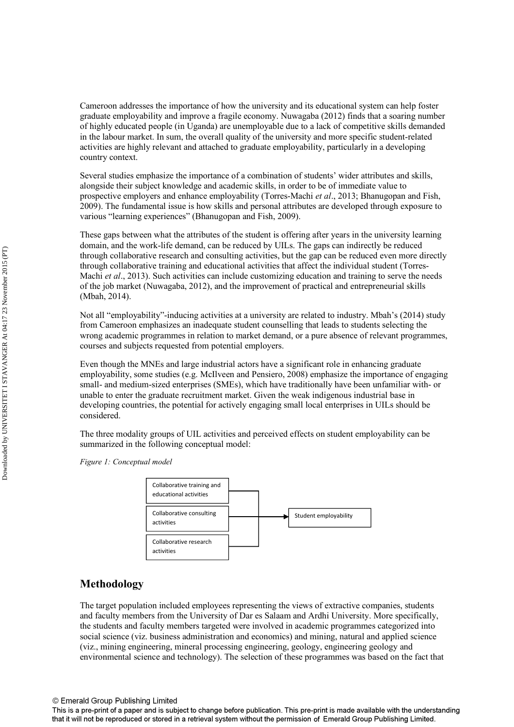Cameroon addresses the importance of how the university and its educational system can help foster graduate employability and improve a fragile economy. Nuwagaba (2012) finds that a soaring number of highly educated people (in Uganda) are unemployable due to a lack of competitive skills demanded in the labour market. In sum, the overall quality of the university and more specific student-related activities are highly relevant and attached to graduate employability, particularly in a developing country context.

Several studies emphasize the importance of a combination of students' wider attributes and skills, alongside their subject knowledge and academic skills, in order to be of immediate value to prospective employers and enhance employability (Torres-Machi *et al*., 2013; Bhanugopan and Fish, 2009). The fundamental issue is how skills and personal attributes are developed through exposure to various "learning experiences" (Bhanugopan and Fish, 2009).

These gaps between what the attributes of the student is offering after years in the university learning domain, and the work-life demand, can be reduced by UILs. The gaps can indirectly be reduced through collaborative research and consulting activities, but the gap can be reduced even more directly through collaborative training and educational activities that affect the individual student (Torres-Machi *et al.*, 2013). Such activities can include customizing education and training to serve the needs of the job market (Nuwagaba, 2012), and the improvement of practical and entrepreneurial skills (Mbah, 2014).

Not all "employability"-inducing activities at a university are related to industry. Mbah's (2014) study from Cameroon emphasizes an inadequate student counselling that leads to students selecting the wrong academic programmes in relation to market demand, or a pure absence of relevant programmes, courses and subjects requested from potential employers.

Even though the MNEs and large industrial actors have a significant role in enhancing graduate employability, some studies (e.g. McIlveen and Pensiero, 2008) emphasize the importance of engaging small- and medium-sized enterprises (SMEs), which have traditionally have been unfamiliar with- or unable to enter the graduate recruitment market. Given the weak indigenous industrial base in developing countries, the potential for actively engaging small local enterprises in UILs should be considered.

The three modality groups of UIL activities and perceived effects on student employability can be summarized in the following conceptual model:

*Figure 1: Conceptual model*



# **Methodology**

The target population included employees representing the views of extractive companies, students and faculty members from the University of Dar es Salaam and Ardhi University. More specifically, the students and faculty members targeted were involved in academic programmes categorized into social science (viz. business administration and economics) and mining, natural and applied science (viz., mining engineering, mineral processing engineering, geology, engineering geology and environmental science and technology). The selection of these programmes was based on the fact that

This is a pre-print of a paper and is subject to change before publication. This pre-print is made available with the understanding that it will not be reproduced or stored in a retrieval system without the permission of Emerald Group Publishing Limited.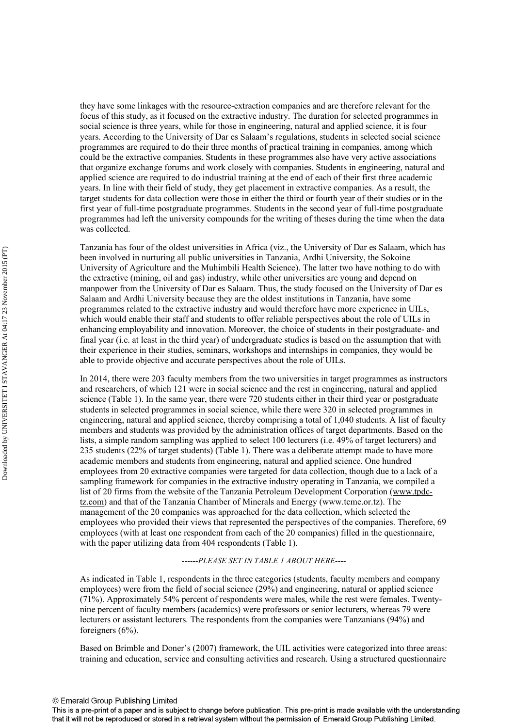they have some linkages with the resource-extraction companies and are therefore relevant for the focus of this study, as it focused on the extractive industry. The duration for selected programmes in social science is three years, while for those in engineering, natural and applied science, it is four years. According to the University of Dar es Salaam's regulations, students in selected social science programmes are required to do their three months of practical training in companies, among which could be the extractive companies. Students in these programmes also have very active associations that organize exchange forums and work closely with companies. Students in engineering, natural and applied science are required to do industrial training at the end of each of their first three academic years. In line with their field of study, they get placement in extractive companies. As a result, the target students for data collection were those in either the third or fourth year of their studies or in the first year of full-time postgraduate programmes. Students in the second year of full-time postgraduate programmes had left the university compounds for the writing of theses during the time when the data was collected.

Tanzania has four of the oldest universities in Africa (viz., the University of Dar es Salaam, which has been involved in nurturing all public universities in Tanzania, Ardhi University, the Sokoine University of Agriculture and the Muhimbili Health Science). The latter two have nothing to do with the extractive (mining, oil and gas) industry, while other universities are young and depend on manpower from the University of Dar es Salaam. Thus, the study focused on the University of Dar es Salaam and Ardhi University because they are the oldest institutions in Tanzania, have some programmes related to the extractive industry and would therefore have more experience in UILs, which would enable their staff and students to offer reliable perspectives about the role of UILs in enhancing employability and innovation. Moreover, the choice of students in their postgraduate- and final year (i.e. at least in the third year) of undergraduate studies is based on the assumption that with their experience in their studies, seminars, workshops and internships in companies, they would be able to provide objective and accurate perspectives about the role of UILs.

In 2014, there were 203 faculty members from the two universities in target programmes as instructors and researchers, of which 121 were in social science and the rest in engineering, natural and applied science (Table 1). In the same year, there were 720 students either in their third year or postgraduate students in selected programmes in social science, while there were 320 in selected programmes in engineering, natural and applied science, thereby comprising a total of 1,040 students. A list of faculty members and students was provided by the administration offices of target departments. Based on the lists, a simple random sampling was applied to select 100 lecturers (i.e. 49% of target lecturers) and 235 students (22% of target students) (Table 1). There was a deliberate attempt made to have more academic members and students from engineering, natural and applied science. One hundred employees from 20 extractive companies were targeted for data collection, though due to a lack of a sampling framework for companies in the extractive industry operating in Tanzania, we compiled a list of 20 firms from the website of the Tanzania Petroleum Development Corporation (www.tpdctz.com) and that of the Tanzania Chamber of Minerals and Energy (www.tcme.or.tz). The management of the 20 companies was approached for the data collection, which selected the employees who provided their views that represented the perspectives of the companies. Therefore, 69 employees (with at least one respondent from each of the 20 companies) filled in the questionnaire, with the paper utilizing data from 404 respondents (Table 1).

*------PLEASE SET IN TABLE 1 ABOUT HERE----* 

As indicated in Table 1, respondents in the three categories (students, faculty members and company employees) were from the field of social science (29%) and engineering, natural or applied science (71%). Approximately 54% percent of respondents were males, while the rest were females. Twentynine percent of faculty members (academics) were professors or senior lecturers, whereas 79 were lecturers or assistant lecturers. The respondents from the companies were Tanzanians (94%) and foreigners (6%).

Based on Brimble and Doner's (2007) framework, the UIL activities were categorized into three areas: training and education, service and consulting activities and research. Using a structured questionnaire

This is a pre-print of a paper and is subject to change before publication. This pre-print is made available with the understanding that it will not be reproduced or stored in a retrieval system without the permission of Emerald Group Publishing Limited.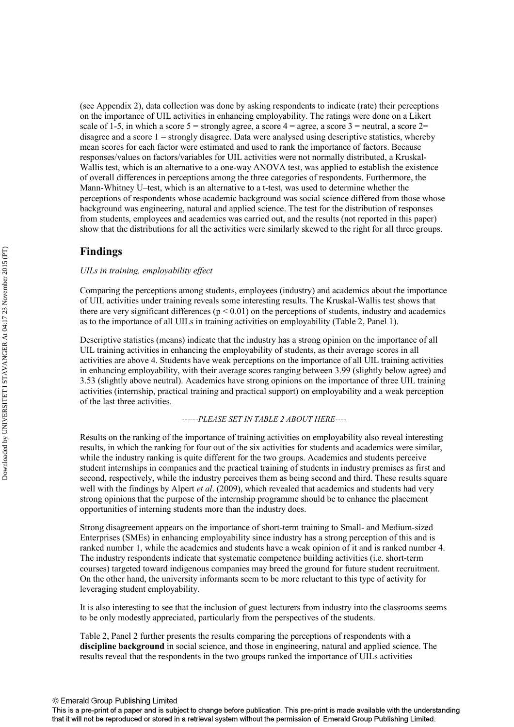(see Appendix 2), data collection was done by asking respondents to indicate (rate) their perceptions on the importance of UIL activities in enhancing employability. The ratings were done on a Likert scale of 1-5, in which a score 5 = strongly agree, a score  $4 =$  agree, a score  $3 =$  neutral, a score  $2 =$ disagree and a score 1 = strongly disagree. Data were analysed using descriptive statistics, whereby mean scores for each factor were estimated and used to rank the importance of factors. Because responses/values on factors/variables for UIL activities were not normally distributed, a Kruskal-Wallis test, which is an alternative to a one-way ANOVA test, was applied to establish the existence of overall differences in perceptions among the three categories of respondents. Furthermore, the Mann-Whitney U–test, which is an alternative to a t-test, was used to determine whether the perceptions of respondents whose academic background was social science differed from those whose background was engineering, natural and applied science. The test for the distribution of responses from students, employees and academics was carried out, and the results (not reported in this paper) show that the distributions for all the activities were similarly skewed to the right for all three groups.

# **Findings**

### *UILs in training, employability effect*

Comparing the perceptions among students, employees (industry) and academics about the importance of UIL activities under training reveals some interesting results. The Kruskal-Wallis test shows that there are very significant differences ( $p < 0.01$ ) on the perceptions of students, industry and academics as to the importance of all UILs in training activities on employability (Table 2, Panel 1).

Descriptive statistics (means) indicate that the industry has a strong opinion on the importance of all UIL training activities in enhancing the employability of students, as their average scores in all activities are above 4. Students have weak perceptions on the importance of all UIL training activities in enhancing employability, with their average scores ranging between 3.99 (slightly below agree) and 3.53 (slightly above neutral). Academics have strong opinions on the importance of three UIL training activities (internship, practical training and practical support) on employability and a weak perception of the last three activities.

*------PLEASE SET IN TABLE 2 ABOUT HERE----* 

Results on the ranking of the importance of training activities on employability also reveal interesting results, in which the ranking for four out of the six activities for students and academics were similar, while the industry ranking is quite different for the two groups. Academics and students perceive student internships in companies and the practical training of students in industry premises as first and second, respectively, while the industry perceives them as being second and third. These results square well with the findings by Alpert *et al*. (2009), which revealed that academics and students had very strong opinions that the purpose of the internship programme should be to enhance the placement opportunities of interning students more than the industry does.

Strong disagreement appears on the importance of short-term training to Small- and Medium-sized Enterprises (SMEs) in enhancing employability since industry has a strong perception of this and is ranked number 1, while the academics and students have a weak opinion of it and is ranked number 4. The industry respondents indicate that systematic competence building activities (i.e. short-term courses) targeted toward indigenous companies may breed the ground for future student recruitment. On the other hand, the university informants seem to be more reluctant to this type of activity for leveraging student employability.

It is also interesting to see that the inclusion of guest lecturers from industry into the classrooms seems to be only modestly appreciated, particularly from the perspectives of the students.

Table 2, Panel 2 further presents the results comparing the perceptions of respondents with a **discipline background** in social science, and those in engineering, natural and applied science. The results reveal that the respondents in the two groups ranked the importance of UILs activities

This is a pre-print of a paper and is subject to change before publication. This pre-print is made available with the understanding that it will not be reproduced or stored in a retrieval system without the permission of Emerald Group Publishing Limited.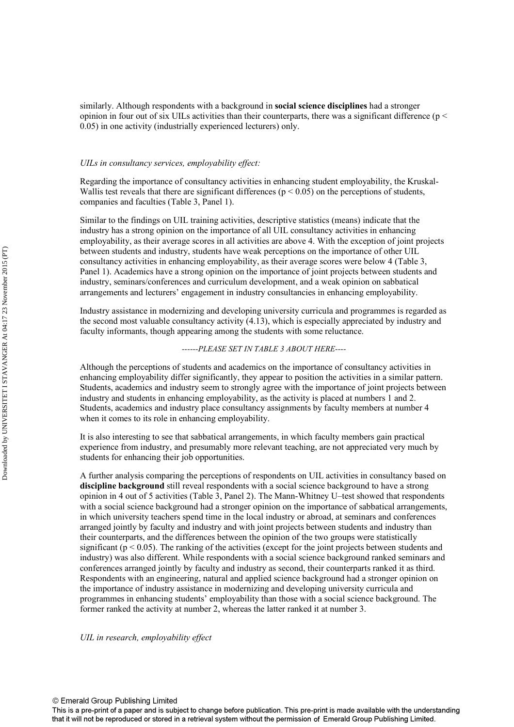similarly. Although respondents with a background in **social science disciplines** had a stronger opinion in four out of six UILs activities than their counterparts, there was a significant difference ( $p \le$ 0.05) in one activity (industrially experienced lecturers) only.

#### *UILs in consultancy services, employability effect:*

Regarding the importance of consultancy activities in enhancing student employability, the Kruskal-Wallis test reveals that there are significant differences ( $p < 0.05$ ) on the perceptions of students, companies and faculties (Table 3, Panel 1).

Similar to the findings on UIL training activities, descriptive statistics (means) indicate that the industry has a strong opinion on the importance of all UIL consultancy activities in enhancing employability, as their average scores in all activities are above 4. With the exception of joint projects between students and industry, students have weak perceptions on the importance of other UIL consultancy activities in enhancing employability, as their average scores were below 4 (Table 3, Panel 1). Academics have a strong opinion on the importance of joint projects between students and industry, seminars/conferences and curriculum development, and a weak opinion on sabbatical arrangements and lecturers' engagement in industry consultancies in enhancing employability.

Industry assistance in modernizing and developing university curricula and programmes is regarded as the second most valuable consultancy activity (4.13), which is especially appreciated by industry and faculty informants, though appearing among the students with some reluctance.

*------PLEASE SET IN TABLE 3 ABOUT HERE----* 

Although the perceptions of students and academics on the importance of consultancy activities in enhancing employability differ significantly, they appear to position the activities in a similar pattern. Students, academics and industry seem to strongly agree with the importance of joint projects between industry and students in enhancing employability, as the activity is placed at numbers 1 and 2. Students, academics and industry place consultancy assignments by faculty members at number 4 when it comes to its role in enhancing employability.

It is also interesting to see that sabbatical arrangements, in which faculty members gain practical experience from industry, and presumably more relevant teaching, are not appreciated very much by students for enhancing their job opportunities.

A further analysis comparing the perceptions of respondents on UIL activities in consultancy based on **discipline background** still reveal respondents with a social science background to have a strong opinion in 4 out of 5 activities (Table 3, Panel 2). The Mann-Whitney U–test showed that respondents with a social science background had a stronger opinion on the importance of sabbatical arrangements, in which university teachers spend time in the local industry or abroad, at seminars and conferences arranged jointly by faculty and industry and with joint projects between students and industry than their counterparts, and the differences between the opinion of the two groups were statistically significant ( $p < 0.05$ ). The ranking of the activities (except for the joint projects between students and industry) was also different. While respondents with a social science background ranked seminars and conferences arranged jointly by faculty and industry as second, their counterparts ranked it as third. Respondents with an engineering, natural and applied science background had a stronger opinion on the importance of industry assistance in modernizing and developing university curricula and programmes in enhancing students' employability than those with a social science background. The former ranked the activity at number 2, whereas the latter ranked it at number 3.

*UIL in research, employability effect* 

© Emerald Group Publishing Limited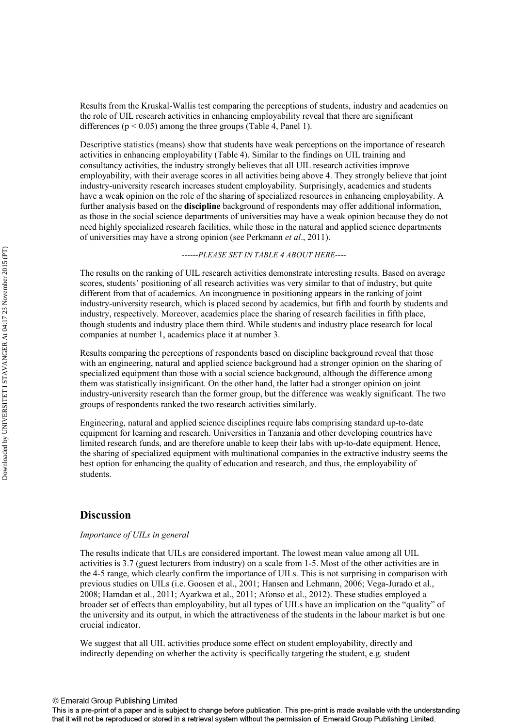Results from the Kruskal-Wallis test comparing the perceptions of students, industry and academics on the role of UIL research activities in enhancing employability reveal that there are significant differences ( $p < 0.05$ ) among the three groups (Table 4, Panel 1).

Descriptive statistics (means) show that students have weak perceptions on the importance of research activities in enhancing employability (Table 4). Similar to the findings on UIL training and consultancy activities, the industry strongly believes that all UIL research activities improve employability, with their average scores in all activities being above 4. They strongly believe that joint industry-university research increases student employability. Surprisingly, academics and students have a weak opinion on the role of the sharing of specialized resources in enhancing employability. A further analysis based on the **discipline** background of respondents may offer additional information, as those in the social science departments of universities may have a weak opinion because they do not need highly specialized research facilities, while those in the natural and applied science departments of universities may have a strong opinion (see Perkmann *et al*., 2011).

*------PLEASE SET IN TABLE 4 ABOUT HERE----* 

The results on the ranking of UIL research activities demonstrate interesting results. Based on average scores, students' positioning of all research activities was very similar to that of industry, but quite different from that of academics. An incongruence in positioning appears in the ranking of joint industry-university research, which is placed second by academics, but fifth and fourth by students and industry, respectively. Moreover, academics place the sharing of research facilities in fifth place, though students and industry place them third. While students and industry place research for local companies at number 1, academics place it at number 3.

Results comparing the perceptions of respondents based on discipline background reveal that those with an engineering, natural and applied science background had a stronger opinion on the sharing of specialized equipment than those with a social science background, although the difference among them was statistically insignificant. On the other hand, the latter had a stronger opinion on joint industry-university research than the former group, but the difference was weakly significant. The two groups of respondents ranked the two research activities similarly.

Engineering, natural and applied science disciplines require labs comprising standard up-to-date equipment for learning and research. Universities in Tanzania and other developing countries have limited research funds, and are therefore unable to keep their labs with up-to-date equipment. Hence, the sharing of specialized equipment with multinational companies in the extractive industry seems the best option for enhancing the quality of education and research, and thus, the employability of students.

# **Discussion**

## *Importance of UILs in general*

The results indicate that UILs are considered important. The lowest mean value among all UIL activities is 3.7 (guest lecturers from industry) on a scale from 1-5. Most of the other activities are in the 4-5 range, which clearly confirm the importance of UILs. This is not surprising in comparison with previous studies on UILs (i.e. Goosen et al., 2001; Hansen and Lehmann, 2006; Vega-Jurado et al., 2008; Hamdan et al., 2011; Ayarkwa et al., 2011; Afonso et al., 2012). These studies employed a broader set of effects than employability, but all types of UILs have an implication on the "quality" of the university and its output, in which the attractiveness of the students in the labour market is but one crucial indicator.

We suggest that all UIL activities produce some effect on student employability, directly and indirectly depending on whether the activity is specifically targeting the student, e.g. student

This is a pre-print of a paper and is subject to change before publication. This pre-print is made available with the understanding that it will not be reproduced or stored in a retrieval system without the permission of Emerald Group Publishing Limited.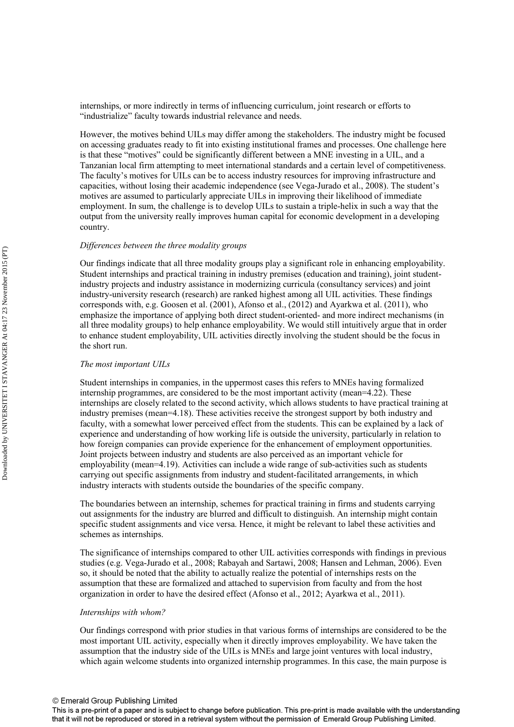internships, or more indirectly in terms of influencing curriculum, joint research or efforts to "industrialize" faculty towards industrial relevance and needs.

However, the motives behind UILs may differ among the stakeholders. The industry might be focused on accessing graduates ready to fit into existing institutional frames and processes. One challenge here is that these "motives" could be significantly different between a MNE investing in a UIL, and a Tanzanian local firm attempting to meet international standards and a certain level of competitiveness. The faculty's motives for UILs can be to access industry resources for improving infrastructure and capacities, without losing their academic independence (see Vega-Jurado et al., 2008). The student's motives are assumed to particularly appreciate UILs in improving their likelihood of immediate employment. In sum, the challenge is to develop UILs to sustain a triple-helix in such a way that the output from the university really improves human capital for economic development in a developing country.

### *Differences between the three modality groups*

Our findings indicate that all three modality groups play a significant role in enhancing employability. Student internships and practical training in industry premises (education and training), joint studentindustry projects and industry assistance in modernizing curricula (consultancy services) and joint industry-university research (research) are ranked highest among all UIL activities. These findings corresponds with, e.g. Goosen et al. (2001), Afonso et al., (2012) and Ayarkwa et al. (2011), who emphasize the importance of applying both direct student-oriented- and more indirect mechanisms (in all three modality groups) to help enhance employability. We would still intuitively argue that in order to enhance student employability, UIL activities directly involving the student should be the focus in the short run.

### *The most important UILs*

Student internships in companies, in the uppermost cases this refers to MNEs having formalized internship programmes, are considered to be the most important activity (mean=4.22). These internships are closely related to the second activity, which allows students to have practical training at industry premises (mean=4.18). These activities receive the strongest support by both industry and faculty, with a somewhat lower perceived effect from the students. This can be explained by a lack of experience and understanding of how working life is outside the university, particularly in relation to how foreign companies can provide experience for the enhancement of employment opportunities. Joint projects between industry and students are also perceived as an important vehicle for employability (mean=4.19). Activities can include a wide range of sub-activities such as students carrying out specific assignments from industry and student-facilitated arrangements, in which industry interacts with students outside the boundaries of the specific company.

The boundaries between an internship, schemes for practical training in firms and students carrying out assignments for the industry are blurred and difficult to distinguish. An internship might contain specific student assignments and vice versa. Hence, it might be relevant to label these activities and schemes as internships.

The significance of internships compared to other UIL activities corresponds with findings in previous studies (e.g. Vega-Jurado et al., 2008; Rabayah and Sartawi, 2008; Hansen and Lehman, 2006). Even so, it should be noted that the ability to actually realize the potential of internships rests on the assumption that these are formalized and attached to supervision from faculty and from the host organization in order to have the desired effect (Afonso et al., 2012; Ayarkwa et al., 2011).

#### *Internships with whom?*

Our findings correspond with prior studies in that various forms of internships are considered to be the most important UIL activity, especially when it directly improves employability. We have taken the assumption that the industry side of the UILs is MNEs and large joint ventures with local industry, which again welcome students into organized internship programmes. In this case, the main purpose is

<sup>©</sup> Emerald Group Publishing Limited

This is a pre-print of a paper and is subject to change before publication. This pre-print is made available with the understanding that it will not be reproduced or stored in a retrieval system without the permission of Emerald Group Publishing Limited.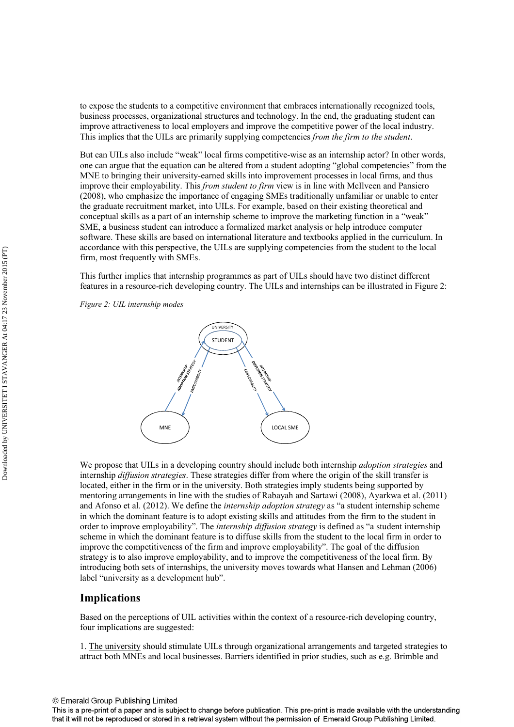to expose the students to a competitive environment that embraces internationally recognized tools, business processes, organizational structures and technology. In the end, the graduating student can improve attractiveness to local employers and improve the competitive power of the local industry. This implies that the UILs are primarily supplying competencies *from the firm to the student*.

But can UILs also include "weak" local firms competitive-wise as an internship actor? In other words, one can argue that the equation can be altered from a student adopting "global competencies" from the MNE to bringing their university-earned skills into improvement processes in local firms, and thus improve their employability. This *from student to firm* view is in line with McIlveen and Pansiero (2008), who emphasize the importance of engaging SMEs traditionally unfamiliar or unable to enter the graduate recruitment market, into UILs. For example, based on their existing theoretical and conceptual skills as a part of an internship scheme to improve the marketing function in a "weak" SME, a business student can introduce a formalized market analysis or help introduce computer software. These skills are based on international literature and textbooks applied in the curriculum. In accordance with this perspective, the UILs are supplying competencies from the student to the local firm, most frequently with SMEs.

This further implies that internship programmes as part of UILs should have two distinct different features in a resource-rich developing country. The UILs and internships can be illustrated in Figure 2:

*Figure 2: UIL internship modes* 



We propose that UILs in a developing country should include both internship *adoption strategies* and internship *diffusion strategies*. These strategies differ from where the origin of the skill transfer is located, either in the firm or in the university. Both strategies imply students being supported by mentoring arrangements in line with the studies of Rabayah and Sartawi (2008), Ayarkwa et al. (2011) and Afonso et al. (2012). We define the *internship adoption strategy* as "a student internship scheme in which the dominant feature is to adopt existing skills and attitudes from the firm to the student in order to improve employability". The *internship diffusion strategy* is defined as "a student internship scheme in which the dominant feature is to diffuse skills from the student to the local firm in order to improve the competitiveness of the firm and improve employability". The goal of the diffusion strategy is to also improve employability, and to improve the competitiveness of the local firm. By introducing both sets of internships, the university moves towards what Hansen and Lehman (2006) label "university as a development hub".

# **Implications**

Based on the perceptions of UIL activities within the context of a resource-rich developing country, four implications are suggested:

1. The university should stimulate UILs through organizational arrangements and targeted strategies to attract both MNEs and local businesses. Barriers identified in prior studies, such as e.g. Brimble and

© Emerald Group Publishing Limited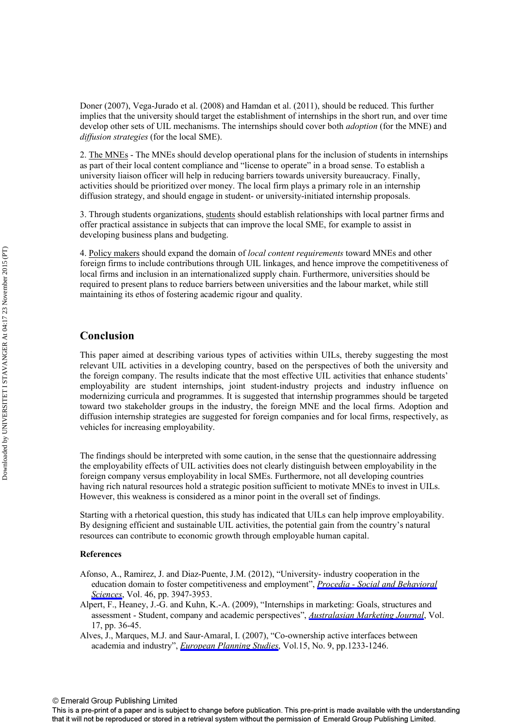Doner (2007), Vega-Jurado et al. (2008) and Hamdan et al. (2011), should be reduced. This further implies that the university should target the establishment of internships in the short run, and over time develop other sets of UIL mechanisms. The internships should cover both *adoption* (for the MNE) and *diffusion strategies* (for the local SME).

2. The MNEs - The MNEs should develop operational plans for the inclusion of students in internships as part of their local content compliance and "license to operate" in a broad sense. To establish a university liaison officer will help in reducing barriers towards university bureaucracy. Finally, activities should be prioritized over money. The local firm plays a primary role in an internship diffusion strategy, and should engage in student- or university-initiated internship proposals.

3. Through students organizations, students should establish relationships with local partner firms and offer practical assistance in subjects that can improve the local SME, for example to assist in developing business plans and budgeting.

4. Policy makers should expand the domain of *local content requirements* toward MNEs and other foreign firms to include contributions through UIL linkages, and hence improve the competitiveness of local firms and inclusion in an internationalized supply chain. Furthermore, universities should be required to present plans to reduce barriers between universities and the labour market, while still maintaining its ethos of fostering academic rigour and quality.

# **Conclusion**

This paper aimed at describing various types of activities within UILs, thereby suggesting the most relevant UIL activities in a developing country, based on the perspectives of both the university and the foreign company. The results indicate that the most effective UIL activities that enhance students' employability are student internships, joint student-industry projects and industry influence on modernizing curricula and programmes. It is suggested that internship programmes should be targeted toward two stakeholder groups in the industry, the foreign MNE and the local firms. Adoption and diffusion internship strategies are suggested for foreign companies and for local firms, respectively, as vehicles for increasing employability.

The findings should be interpreted with some caution, in the sense that the questionnaire addressing the employability effects of UIL activities does not clearly distinguish between employability in the foreign company versus employability in local SMEs. Furthermore, not all developing countries having rich natural resources hold a strategic position sufficient to motivate MNEs to invest in UILs. However, this weakness is considered as a minor point in the overall set of findings.

Starting with a rhetorical question, this study has indicated that UILs can help improve employability. By designing efficient and sustainable UIL activities, the potential gain from the country's natural resources can contribute to economic growth through employable human capital.

#### **References**

- Afonso, A., Ramirez, J. and Diaz-Puente, J.M. (2012), "University- industry cooperation in the education domain to foster competitiveness and employment", *[Procedia - Social and Behavioral](http://www.emeraldinsight.com/action/showLinks?crossref=10.1016%2Fj.sbspro.2012.06.177) [Sciences](http://www.emeraldinsight.com/action/showLinks?crossref=10.1016%2Fj.sbspro.2012.06.177)*, Vol. 46, pp. 3947-3953.
- Alpert, F., Heaney, J.-G. and Kuhn, K.-A. (2009), "Internships in marketing: Goals, structures and assessment - Student, company and academic perspectives", *[Australasian Marketing Journal](http://www.emeraldinsight.com/action/showLinks?crossref=10.1016%2Fj.ausmj.2009.01.003)*, Vol. 17, pp. 36-45.
- Alves, J., Marques, M.J. and Saur-Amaral, I. (2007), "Co-ownership active interfaces between academia and industry", *[European Planning Studies](http://www.emeraldinsight.com/action/showLinks?crossref=10.1080%2F09654310701529193&isi=000249608900007)*, Vol.15, No. 9, pp.1233-1246.

This is a pre-print of a paper and is subject to change before publication. This pre-print is made available with the understanding that it will not be reproduced or stored in a retrieval system without the permission of Emerald Group Publishing Limited.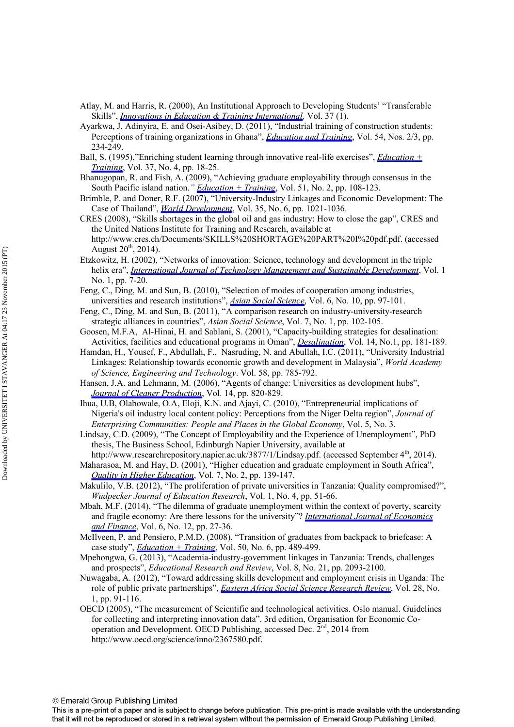- Atlay, M. and Harris, R. (2000), An Institutional Approach to Developing Students' "Transferable Skills", *[Innovations in Education & Training International](http://www.emeraldinsight.com/action/showLinks?crossref=10.1080%2F135580000362115),* Vol. 37 (1).
- Ayarkwa, J, Adinyira, E. and Osei-Asibey, D. (2011), "Industrial training of construction students: Perceptions of training organizations in Ghana", *[Education and Training](http://www.emeraldinsight.com/action/showLinks?system=10.1108%2F00400911211210323)*, Vol. 54, Nos. 2/3, pp. 234-249.
- Ball, S. (1995),"Enriching student learning through innovative real-life exercises", *[Education +](http://www.emeraldinsight.com/action/showLinks?system=10.1108%2F00400919510088889) [Training](http://www.emeraldinsight.com/action/showLinks?system=10.1108%2F00400919510088889)*, Vol. 37, No. 4, pp. 18-25.
- Bhanugopan, R. and Fish, A. (2009), "Achieving graduate employability through consensus in the South Pacific island nation.*" [Education + Training](http://www.emeraldinsight.com/action/showLinks?system=10.1108%2F00400910910941273)*, Vol. 51, No. 2, pp. 108-123.
- Brimble, P. and Doner, R.F. (2007), "University-Industry Linkages and Economic Development: The Case of Thailand", *[World Development](http://www.emeraldinsight.com/action/showLinks?crossref=10.1016%2Fj.worlddev.2006.05.009&isi=000250549300007)*, Vol. 35, No. 6, pp. 1021-1036.
- CRES (2008), "Skills shortages in the global oil and gas industry: How to close the gap", CRES and the United Nations Institute for Training and Research, available at http://www.cres.ch/Documents/SKILLS%20SHORTAGE%20PART%20I%20pdf.pdf. (accessed August  $20^{th}$ , 2014).
- Etzkowitz, H. (2002), "Networks of innovation: Science, technology and development in the triple helix era", *[International Journal of Technology Management and Sustainable Development](http://www.emeraldinsight.com/action/showLinks?crossref=10.1386%2Fijtm.1.1.7)*, Vol. 1 No. 1, pp. 7-20.
- Feng, C., Ding, M. and Sun, B. (2010), "Selection of modes of cooperation among industries, universities and research institutions", *[Asian Social Science](http://www.emeraldinsight.com/action/showLinks?crossref=10.5539%2Fass.v6n10p97)*, Vol. 6, No. 10, pp. 97-101.
- Feng, C., Ding, M. and Sun, B. (2011), "A comparison research on industry-university-research strategic alliances in countries", *Asian Social Science*, Vol. 7, No. 1, pp. 102-105.
- Goosen, M.F.A, Al-Hinai, H. and Sablani, S. (2001), "Capacity-building strategies for desalination: Activities, facilities and educational programs in Oman", *[Desalination](http://www.emeraldinsight.com/action/showLinks?crossref=10.1016%2FS0011-9164%2801%2900402-7)*, Vol. 14, No.1, pp. 181-189.
- Hamdan, H., Yousef, F., Abdullah, F., Nasruding, N. and Abullah, I.C. (2011), "University Industrial Linkages: Relationship towards economic growth and development in Malaysia", *World Academy of Science, Engineering and Technology*. Vol. 58, pp. 785-792.
- Hansen, J.A. and Lehmann, M. (2006), "Agents of change: Universities as development hubs", *[Journal of Cleaner Production](http://www.emeraldinsight.com/action/showLinks?crossref=10.1016%2Fj.jclepro.2005.11.048&isi=000237756800008)*, Vol. 14, pp. 820-829.
- Ihua, U.B, Olabowale, O.A, Eloji, K.N. and Ajayi, C. (2010), "Entrepreneurial implications of Nigeria's oil industry local content policy: Perceptions from the Niger Delta region", *Journal of Enterprising Communities: People and Places in the Global Economy*, Vol. 5, No. 3.
- Lindsay, C.D. (2009), "The Concept of Employability and the Experience of Unemployment", PhD thesis, The Business School, Edinburgh Napier University, available at
- http://www.researchrepository.napier.ac.uk/3877/1/Lindsay.pdf. (accessed September 4<sup>th</sup>, 2014). Maharasoa, M. and Hay, D. (2001), "Higher education and graduate employment in South Africa", *[Quality in Higher Education](http://www.emeraldinsight.com/action/showLinks?crossref=10.1080%2F13538320120060033)*, Vol. 7, No. 2, pp. 139-147.
- Makulilo, V.B. (2012), "The proliferation of private universities in Tanzania: Quality compromised?", *Wudpecker Journal of Education Research*, Vol. 1, No. 4, pp. 51-66.
- Mbah, M.F. (2014), "The dilemma of graduate unemployment within the context of poverty, scarcity and fragile economy: Are there lessons for the university"? *[International Journal of Economics](http://www.emeraldinsight.com/action/showLinks?crossref=10.5539%2Fijef.v6n12p27)  [and Finance](http://www.emeraldinsight.com/action/showLinks?crossref=10.5539%2Fijef.v6n12p27)*, Vol. 6, No. 12, pp. 27-36.
- McIlveen, P. and Pensiero, P.M.D. (2008), "Transition of graduates from backpack to briefcase: A case study", *[Education + Training](http://www.emeraldinsight.com/action/showLinks?system=10.1108%2F00400910810901818)*, Vol. 50, No. 6, pp. 489-499.
- Mpehongwa, G. (2013), "Academia-industry-government linkages in Tanzania: Trends, challenges and prospects", *Educational Research and Review*, Vol. 8, No. 21, pp. 2093-2100.
- Nuwagaba, A. (2012), "Toward addressing skills development and employment crisis in Uganda: The role of public private partnerships", *[Eastern Africa Social Science Research Review](http://www.emeraldinsight.com/action/showLinks?crossref=10.1353%2Feas.2012.0004)*, Vol. 28, No. 1, pp. 91-116.
- OECD (2005), "The measurement of Scientific and technological activities. Oslo manual. Guidelines for collecting and interpreting innovation data". 3rd edition, Organisation for Economic Cooperation and Development. OECD Publishing, accessed Dec.  $2<sup>nd</sup>$ , 2014 from http://www.oecd.org/science/inno/2367580.pdf.

This is a pre-print of a paper and is subject to change before publication. This pre-print is made available with the understanding that it will not be reproduced or stored in a retrieval system without the permission of Emerald Group Publishing Limited.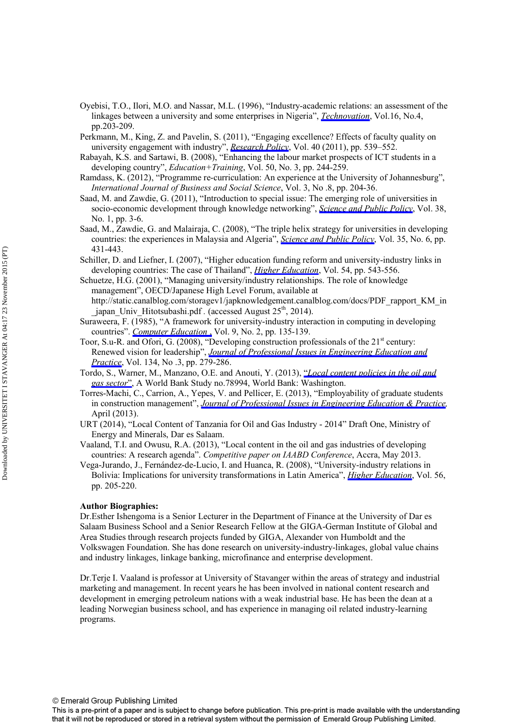- Oyebisi, T.O., Ilori, M.O. and Nassar, M.L. (1996), "Industry-academic relations: an assessment of the linkages between a university and some enterprises in Nigeria", *[Technovation](http://www.emeraldinsight.com/action/showLinks?crossref=10.1016%2F0166-4972%2895%2900049-6&isi=A1996UV53900005)*, Vol.16, No.4, pp.203-209.
- Perkmann, M., King, Z. and Pavelin, S. (2011), "Engaging excellence? Effects of faculty quality on university engagement with industry", *[Research Policy](http://www.emeraldinsight.com/action/showLinks?crossref=10.1016%2Fj.respol.2011.01.007&isi=000290244200003)*, Vol. 40 (2011), pp. 539–552.
- Rabayah, K.S. and Sartawi, B. (2008), "Enhancing the labour market prospects of ICT students in a developing country", *Education+Training*, Vol. 50, No. 3, pp. 244-259.
- Ramdass, K. (2012), "Programme re-curriculation: An experience at the University of Johannesburg", *International Journal of Business and Social Science*, Vol. 3, No .8, pp. 204-36.
- Saad, M. and Zawdie, G. (2011), "Introduction to special issue: The emerging role of universities in socio-economic development through knowledge networking", *[Science and Public Policy](http://www.emeraldinsight.com/action/showLinks?crossref=10.3152%2F030234211X12960315267453&isi=000294372200001)*, Vol. 38, No. 1, pp. 3-6.
- Saad, M., Zawdie, G. and Malairaja, C. (2008), "The triple helix strategy for universities in developing countries: the experiences in Malaysia and Algeria", *[Science and Public Policy](http://www.emeraldinsight.com/action/showLinks?crossref=10.3152%2F030234208X323316)*, Vol. 35, No. 6, pp. 431-443.
- Schiller, D. and Liefner, I. (2007), "Higher education funding reform and university-industry links in developing countries: The case of Thailand", *[Higher Education](http://www.emeraldinsight.com/action/showLinks?crossref=10.1007%2Fs10734-006-9011-y&isi=000249212800005)*, Vol. 54, pp. 543-556.
- Schuetze, H.G. (2001), "Managing university/industry relationships. The role of knowledge management", OECD/Japanese High Level Forum, available at http://static.canalblog.com/storagev1/japknowledgement.canalblog.com/docs/PDF\_rapport\_KM\_in \_japan\_Univ\_Hitotsubashi.pdf *.* (accessed August 25th, 2014).
- Suraweera, F. (1985), "A framework for university-industry interaction in computing in developing countries". *[Computer Education](http://www.emeraldinsight.com/action/showLinks?crossref=10.1016%2F0360-1315%2885%2990035-1&isi=A1985AGG4000007)* , Vol. 9, No. 2, pp. 135-139.
- Toor, S.u-R. and Ofori, G. (2008), "Developing construction professionals of the 21<sup>st</sup> century: Renewed vision for leadership", *[Journal of Professional Issues in Engineering Education and](http://www.emeraldinsight.com/action/showLinks?crossref=10.1061%2F%28ASCE%291052-3928%282008%29134%3A3%28279%29&isi=000257022800005) [Practice](http://www.emeraldinsight.com/action/showLinks?crossref=10.1061%2F%28ASCE%291052-3928%282008%29134%3A3%28279%29&isi=000257022800005)*, Vol. 134, No .3, pp. 279-286.
- Tordo, S., Warner, M., Manzano, O.E. and Anouti, Y. (2013), "*[Local content policies in the oil and](http://www.emeraldinsight.com/action/showLinks?crossref=10.1596%2F978-0-8213-9931-6)  [gas sector](http://www.emeraldinsight.com/action/showLinks?crossref=10.1596%2F978-0-8213-9931-6)*", A World Bank Study no.78994, World Bank: Washington.
- Torres-Machi, C., Carrion, A., Yepes, V. and Pellicer, E. (2013), "Employability of graduate students in construction management", *[Journal of Professional Issues in Engineering Education & Practice,](http://www.emeraldinsight.com/action/showLinks?isi=000316700200011)*  April (2013).
- URT (2014), "Local Content of Tanzania for Oil and Gas Industry 2014" Draft One, Ministry of Energy and Minerals, Dar es Salaam.
- Vaaland, T.I. and Owusu, R.A. (2013), "Local content in the oil and gas industries of developing countries: A research agenda". *Competitive paper on IAABD Conference*, Accra, May 2013.
- Vega-Jurando, J., Fernández-de-Lucio, I. and Huanca, R. (2008), "University-industry relations in Bolivia: Implications for university transformations in Latin America", *[Higher Education](http://www.emeraldinsight.com/action/showLinks?crossref=10.1007%2Fs10734-007-9098-9&isi=000256910900005)*, Vol. 56, pp. 205-220.

### **Author Biographies:**

Dr.Esther Ishengoma is a Senior Lecturer in the Department of Finance at the University of Dar es Salaam Business School and a Senior Research Fellow at the GIGA-German Institute of Global and Area Studies through research projects funded by GIGA, Alexander von Humboldt and the Volkswagen Foundation. She has done research on university-industry-linkages, global value chains and industry linkages, linkage banking, microfinance and enterprise development.

Dr.Terje I. Vaaland is professor at University of Stavanger within the areas of strategy and industrial marketing and management. In recent years he has been involved in national content research and development in emerging petroleum nations with a weak industrial base. He has been the dean at a leading Norwegian business school, and has experience in managing oil related industry-learning programs.

This is a pre-print of a paper and is subject to change before publication. This pre-print is made available with the understanding that it will not be reproduced or stored in a retrieval system without the permission of Emerald Group Publishing Limited.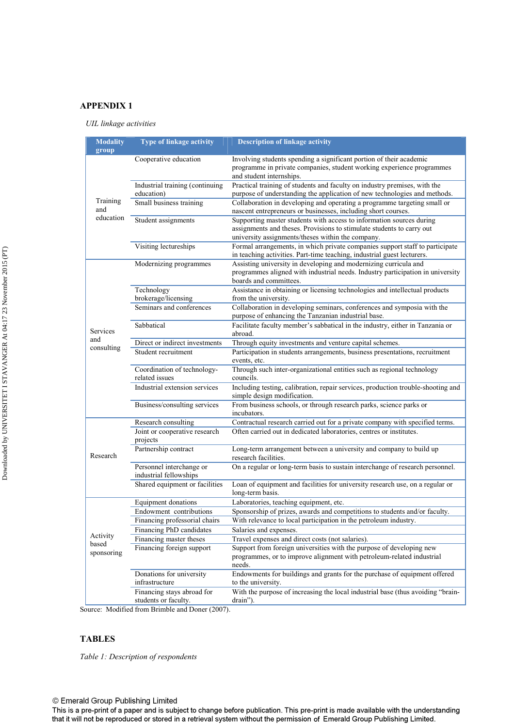## **APPENDIX 1**

*UIL linkage activities*

| <b>Modality</b><br>group | <b>Type of linkage activity</b>                    | <b>Description of linkage activity</b>                                                                                                                                                             |
|--------------------------|----------------------------------------------------|----------------------------------------------------------------------------------------------------------------------------------------------------------------------------------------------------|
|                          | Cooperative education                              | Involving students spending a significant portion of their academic<br>programme in private companies, student working experience programmes<br>and student internships.                           |
|                          | Industrial training (continuing<br>education)      | Practical training of students and faculty on industry premises, with the<br>purpose of understanding the application of new technologies and methods.                                             |
| Training<br>and          | Small business training                            | Collaboration in developing and operating a programme targeting small or<br>nascent entrepreneurs or businesses, including short courses.                                                          |
| education                | Student assignments                                | Supporting master students with access to information sources during<br>assignments and theses. Provisions to stimulate students to carry out<br>university assignments/theses within the company. |
|                          | Visiting lectureships                              | Formal arrangements, in which private companies support staff to participate<br>in teaching activities. Part-time teaching, industrial guest lecturers.                                            |
|                          | Modernizing programmes                             | Assisting university in developing and modernizing curricula and<br>programmes aligned with industrial needs. Industry participation in university<br>boards and committees.                       |
|                          | Technology<br>brokerage/licensing                  | Assistance in obtaining or licensing technologies and intellectual products<br>from the university.                                                                                                |
|                          | Seminars and conferences                           | Collaboration in developing seminars, conferences and symposia with the<br>purpose of enhancing the Tanzanian industrial base.                                                                     |
| <b>Services</b>          | Sabbatical                                         | Facilitate faculty member's sabbatical in the industry, either in Tanzania or<br>abroad.                                                                                                           |
| and                      | Direct or indirect investments                     | Through equity investments and venture capital schemes.                                                                                                                                            |
| consulting               | Student recruitment                                | Participation in students arrangements, business presentations, recruitment<br>events, etc.                                                                                                        |
|                          | Coordination of technology-<br>related issues      | Through such inter-organizational entities such as regional technology<br>councils.                                                                                                                |
|                          | Industrial extension services                      | Including testing, calibration, repair services, production trouble-shooting and<br>simple design modification.                                                                                    |
|                          | Business/consulting services                       | From business schools, or through research parks, science parks or<br>incubators.                                                                                                                  |
|                          | Research consulting                                | Contractual research carried out for a private company with specified terms.                                                                                                                       |
|                          | Joint or cooperative research<br>projects          | Often carried out in dedicated laboratories, centres or institutes.                                                                                                                                |
| Research                 | Partnership contract                               | Long-term arrangement between a university and company to build up<br>research facilities.                                                                                                         |
|                          | Personnel interchange or<br>industrial fellowships | On a regular or long-term basis to sustain interchange of research personnel.                                                                                                                      |
|                          | Shared equipment or facilities                     | Loan of equipment and facilities for university research use, on a regular or<br>long-term basis.                                                                                                  |
|                          | Equipment donations                                | Laboratories, teaching equipment, etc.                                                                                                                                                             |
|                          | Endowment contributions                            | Sponsorship of prizes, awards and competitions to students and/or faculty.                                                                                                                         |
|                          | Financing professorial chairs                      | With relevance to local participation in the petroleum industry.                                                                                                                                   |
|                          | Financing PhD candidates                           | Salaries and expenses.                                                                                                                                                                             |
| Activity<br>based        | Financing master theses                            | Travel expenses and direct costs (not salaries).                                                                                                                                                   |
| sponsoring               | Financing foreign support                          | Support from foreign universities with the purpose of developing new<br>programmes, or to improve alignment with petroleum-related industrial<br>needs.                                            |
|                          | Donations for university<br>infrastructure         | Endowments for buildings and grants for the purchase of equipment offered<br>to the university.                                                                                                    |
|                          | Financing stays abroad for                         | With the purpose of increasing the local industrial base (thus avoiding "brain-                                                                                                                    |
|                          | students or faculty.                               | drain").                                                                                                                                                                                           |

Source: Modified from Brimble and Doner (2007).

# **TABLES**

*Table 1: Description of respondents* 

© Emerald Group Publishing Limited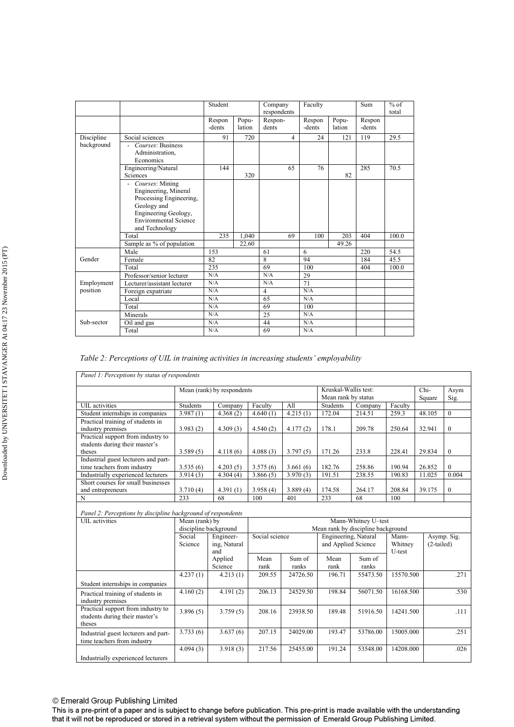|            |                                                                                                                                                                                                     | Student |                | Company<br>respondents | Faculty |              | Sum    | $%$ of<br>total |
|------------|-----------------------------------------------------------------------------------------------------------------------------------------------------------------------------------------------------|---------|----------------|------------------------|---------|--------------|--------|-----------------|
|            |                                                                                                                                                                                                     | Respon  | Popu-          | Respon-                | Respon  | Popu-        | Respon |                 |
|            |                                                                                                                                                                                                     | -dents  | lation         | dents                  | -dents  | lation       | -dents |                 |
| Discipline | Social sciences                                                                                                                                                                                     | 91      | 720            | $\overline{4}$         | 24      | 121          | 119    | 29.5            |
| background | Courses: Business<br>Administration.                                                                                                                                                                |         |                |                        |         |              |        |                 |
|            | Economics                                                                                                                                                                                           |         |                |                        |         |              |        |                 |
|            | Engineering/Natural<br>Sciences                                                                                                                                                                     | 144     | 320            | 65                     | 76      | 82           | 285    | 70.5            |
|            | - Courses: Mining<br>Engineering, Mineral<br>Processing Engineering,<br>Geology and<br>Engineering Geology,<br><b>Environmental Science</b><br>and Technology<br>Total<br>Sample as % of population | 235     | 1.040<br>22.60 | 69                     | 100     | 203<br>49.26 | 404    | 100.0           |
|            | Male                                                                                                                                                                                                | 153     |                | 61                     | 6       |              | 220    | 54.5            |
| Gender     | Female                                                                                                                                                                                              | 82      |                | 8                      | 94      |              | 184    | 45.5            |
|            | Total                                                                                                                                                                                               | 235     |                | 69                     | 100     |              | 404    | 100.0           |
|            | Professor/senior lecturer                                                                                                                                                                           | N/A     |                | N/A                    | 29      |              |        |                 |
| Employment | Lecturer/assistant lecturer                                                                                                                                                                         | N/A     |                | N/A                    | 71      |              |        |                 |
| position   | Foreign expatriate                                                                                                                                                                                  | N/A     |                | 4                      | N/A     |              |        |                 |
|            | Local                                                                                                                                                                                               | N/A     |                | 65                     | N/A     |              |        |                 |
|            | Total                                                                                                                                                                                               | N/A     |                | 69                     | 100     |              |        |                 |
|            | Minerals                                                                                                                                                                                            | N/A     |                | 25                     | N/A     |              |        |                 |
| Sub-sector | Oil and gas                                                                                                                                                                                         | N/A     |                | 44                     | N/A     |              |        |                 |
|            | Total                                                                                                                                                                                               | N/A     |                | 69                     | N/A     |              |        |                 |

### *Table 2: Perceptions of UIL in training activities in increasing students' employability*

| Panel 1: Perceptions by status of respondents                |                |                            |                |          |                      |                                    |           |        |                |
|--------------------------------------------------------------|----------------|----------------------------|----------------|----------|----------------------|------------------------------------|-----------|--------|----------------|
|                                                              |                | Mean (rank) by respondents |                |          | Kruskal-Wallis test: |                                    |           | Chi-   | Asym           |
|                                                              |                |                            |                |          | Mean rank by status  |                                    |           | Square | Sig.           |
| <b>UIL</b> activities                                        | Students       | Company                    | Faculty        | All      | <b>Students</b>      | Company                            | Faculty   |        |                |
| Student internships in companies                             | 3.987(1)       | 4.368(2)                   | 4.640(1)       | 4.215(1) | 172.04               | 214.51                             | 259.3     | 48.105 | $\theta$       |
| Practical training of students in                            |                |                            |                |          |                      |                                    |           |        |                |
| industry premises                                            | 3.983(2)       | 4.309(3)                   | 4.540(2)       | 4.177(2) | 178.1                | 209.78                             | 250.64    | 32.941 | $\mathbf{0}$   |
| Practical support from industry to                           |                |                            |                |          |                      |                                    |           |        |                |
| students during their master's                               |                |                            |                |          |                      |                                    |           |        |                |
| theses                                                       | 3.589(5)       | 4.118(6)                   | 4.088(3)       | 3.797(5) | 171.26               | 233.8                              | 228.41    | 29.834 | $\mathbf{0}$   |
| Industrial guest lecturers and part-                         |                |                            |                |          |                      |                                    |           |        |                |
| time teachers from industry                                  | 3.535(6)       | 4.203(5)                   | 3.575(6)       | 3.661(6) | 182.76               | 258.86                             | 190.94    | 26.852 | $\theta$       |
| Industrially experienced lecturers                           | 3.914(3)       | 4.304(4)                   | 3.866(5)       | 3.970(3) | 191.51               | 238.55                             | 190.83    | 11.025 | 0.004          |
| Short courses for small businesses                           |                |                            |                |          |                      |                                    |           |        |                |
| and entrepreneurs                                            | 3.710(4)       | 4.391(1)                   | 3.958(4)       | 3.889(4) | 174.58               | 264.17                             | 208.84    | 39.175 | $\overline{0}$ |
| N                                                            | 233            | 68                         | 100            | 401      | 233                  | 68                                 | 100       |        |                |
| Panel 2: Perceptions by discipline background of respondents |                |                            |                |          |                      |                                    |           |        |                |
| UIL activities                                               | Mean (rank) by |                            |                |          |                      | Mann-Whitney U-test                |           |        |                |
|                                                              |                | discipline background      |                |          |                      | Mean rank by discipline background |           |        |                |
|                                                              | Social         | Engineer-                  | Social science |          | Engineering, Natural |                                    | Mann-     |        | Asymp. Sig.    |
|                                                              | Science        | ing, Natural               |                |          | and Applied Science  |                                    | Whitney   |        | $(2-tailed)$   |
|                                                              |                | and                        |                |          |                      |                                    | U-test    |        |                |
|                                                              |                | Applied                    | Mean           | Sum of   | Mean                 | Sum of                             |           |        |                |
|                                                              |                | Science                    | rank           | ranks    | rank                 | ranks                              |           |        |                |
|                                                              | 4.237(1)       | 4.213(1)                   | 209.55         | 24726.50 | 196.71               | 55473.50                           | 15570.500 |        | .271           |
| Student internships in companies                             |                |                            |                |          |                      |                                    |           |        |                |
| Practical training of students in                            | 4.160(2)       | 4.191(2)                   | 206.13         | 24529.50 | 198.84               | 56071.50                           | 16168.500 |        | .530           |
| industry premises                                            |                |                            |                |          |                      |                                    |           |        |                |
| Practical support from industry to                           | 3.896(5)       | 3.759(5)                   | 208.16         | 23938.50 | 189.48               | 51916.50                           | 14241.500 |        | .111           |
| students during their master's                               |                |                            |                |          |                      |                                    |           |        |                |
| theses                                                       |                |                            |                |          |                      |                                    |           |        |                |
| Industrial guest lecturers and part-                         | 3.733(6)       | 3.637(6)                   | 207.15         | 24029.00 | 193.47               | 53786.00                           | 15005.000 |        | .251           |

4.094 (3) 3.918 (3) 217.56 25455.00 191.24 53548.00 14208.000 .026

٦

© Emerald Group Publishing Limited

time teachers from industry

Industrially experienced lecturers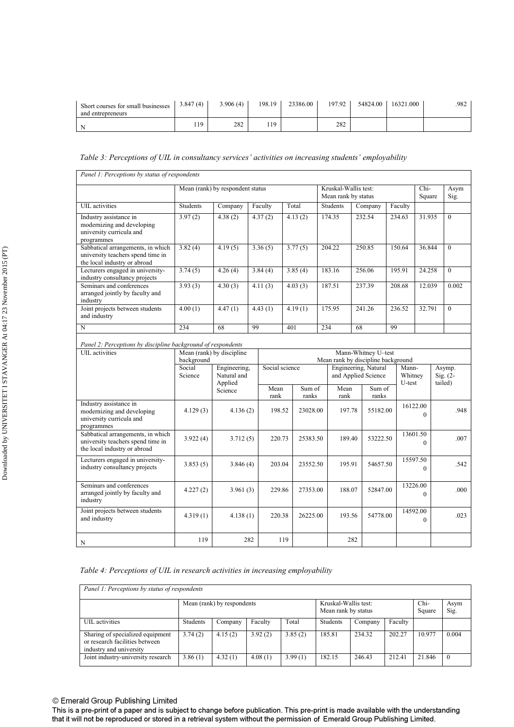| Short courses for small businesses<br>and entrepreneurs | 3.847(4) | 3.906(4) | 198.19 | 23386.00 | 197.92 | 54824.00 | 16321.000 | .982 |
|---------------------------------------------------------|----------|----------|--------|----------|--------|----------|-----------|------|
|                                                         | 10       | 282      | 10     |          | 282    |          |           |      |

### *Table 3: Perceptions of UIL in consultancy services' activities on increasing students' employability*

|                                                                                                        |          | Mean (rank) by respondent status |         |         | Kruskal-Wallis test:<br>Mean rank by status | Chi-<br>Square | Asym<br>Sig. |        |          |
|--------------------------------------------------------------------------------------------------------|----------|----------------------------------|---------|---------|---------------------------------------------|----------------|--------------|--------|----------|
| UIL activities                                                                                         | Students | Company                          | Faculty | Total   | Students                                    | Company        | Faculty      |        |          |
| Industry assistance in<br>modernizing and developing<br>university curricula and<br>programmes         | 3.97(2)  | 4.38(2)                          | 4.37(2) | 4.13(2) | 174.35                                      | 232.54         | 234.63       | 31.935 | $\Omega$ |
| Sabbatical arrangements, in which<br>university teachers spend time in<br>the local industry or abroad | 3.82(4)  | 4.19(5)                          | 3.36(5) | 3.77(5) | 204.22                                      | 250.85         | 150.64       | 36.844 | $\Omega$ |
| Lecturers engaged in university-<br>industry consultancy projects                                      | 3.74(5)  | 4.26(4)                          | 3.84(4) | 3.85(4) | 183.16                                      | 256.06         | 195.91       | 24.258 | $\theta$ |
| Seminars and conferences<br>arranged jointly by faculty and<br>industry                                | 3.93(3)  | 4.30(3)                          | 4.11(3) | 4.03(3) | 187.51                                      | 237.39         | 208.68       | 12.039 | 0.002    |
| Joint projects between students<br>and industry                                                        | 4.00(1)  | 4.47(1)                          | 4.43(1) | 4.19(1) | 175.95                                      | 241.26         | 236.52       | 32.791 | $\Omega$ |
| N                                                                                                      | 234      | 68                               | 99      | 401     | 234                                         | 68             | 99           |        |          |

*Panel 2: Perceptions by discipline background of respondents* 

| <b>UIL</b> activities                                                                                  | background        | Mean (rank) by discipline              |                |                 | Mean rank by discipline background          |                 |                            |                                 |
|--------------------------------------------------------------------------------------------------------|-------------------|----------------------------------------|----------------|-----------------|---------------------------------------------|-----------------|----------------------------|---------------------------------|
|                                                                                                        | Social<br>Science | Engineering,<br>Natural and<br>Applied | Social science |                 | Engineering, Natural<br>and Applied Science |                 | Mann-<br>Whitney<br>U-test | Asymp.<br>Sig. $(2-$<br>tailed) |
|                                                                                                        |                   | Science                                | Mean<br>rank   | Sum of<br>ranks | Mean<br>rank                                | Sum of<br>ranks |                            |                                 |
| Industry assistance in<br>modernizing and developing<br>university curricula and<br>programmes         | 4.129(3)          | 4.136(2)                               | 198.52         | 23028.00        | 197.78                                      | 55182.00        | 16122.00                   | .948                            |
| Sabbatical arrangements, in which<br>university teachers spend time in<br>the local industry or abroad | 3.922(4)          | 3.712(5)                               | 220.73         | 25383.50        | 189.40                                      | 53222.50        | 13601.50<br>0              | .007                            |
| Lecturers engaged in university-<br>industry consultancy projects                                      | 3.853(5)          | 3.846(4)                               | 203.04         | 23552.50        | 195.91                                      | 54657.50        | 15597.50<br>0              | .542                            |
| Seminars and conferences<br>arranged jointly by faculty and<br>industry                                | 4.227(2)          | 3.961(3)                               | 229.86         | 27353.00        | 188.07                                      | 52847.00        | 13226.00<br>$_{0}$         | .000                            |
| Joint projects between students<br>and industry                                                        | 4.319(1)          | 4.138(1)                               | 220.38         | 26225.00        | 193.56                                      | 54778.00        | 14592.00<br>0              | .023                            |
| N                                                                                                      | 119               | 282                                    | 119            |                 | 282                                         |                 |                            |                                 |

## *Table 4: Perceptions of UIL in research activities in increasing employability*

| Panel 1: Perceptions by status of respondents                                                 |                 |                                                                                             |         |         |          |         |         |        |              |
|-----------------------------------------------------------------------------------------------|-----------------|---------------------------------------------------------------------------------------------|---------|---------|----------|---------|---------|--------|--------------|
|                                                                                               |                 | Chi-<br>Mean (rank) by respondents<br>Kruskal-Wallis test:<br>Mean rank by status<br>Square |         |         |          |         |         |        | Asym<br>Sig. |
| UIL activities                                                                                | <b>Students</b> | Company                                                                                     | Faculty | Total   | Students | Company | Faculty |        |              |
| Sharing of specialized equipment<br>or research facilities between<br>industry and university | 3.74(2)         | 4.15(2)                                                                                     | 3.92(2) | 3.85(2) | 185.81   | 234.32  | 202.27  | 10.977 | 0.004        |
| Joint industry-university research                                                            | 3.86(1)         | 4.32(1)                                                                                     | 4.08(1) | 3.99(1) | 182.15   | 246.43  | 212.41  | 21.846 | $\theta$     |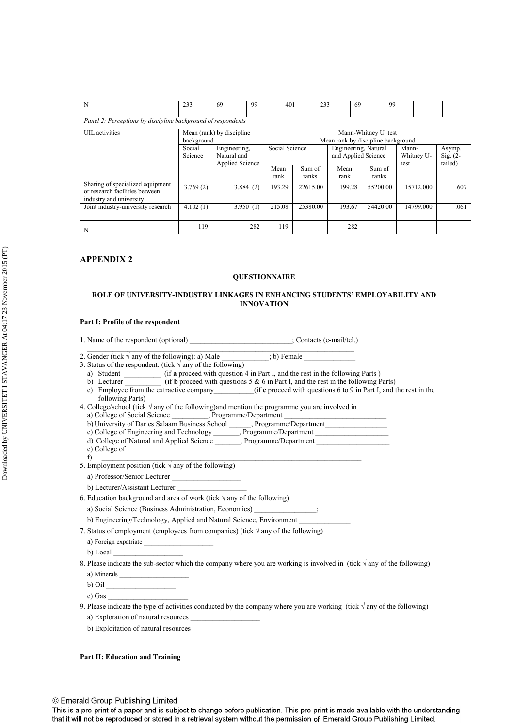| N                                                                                             | 233               | 69                                             | 99  | 401                                                       | 233             | 69           | 99                                          |                             |                                 |  |  |
|-----------------------------------------------------------------------------------------------|-------------------|------------------------------------------------|-----|-----------------------------------------------------------|-----------------|--------------|---------------------------------------------|-----------------------------|---------------------------------|--|--|
| Panel 2: Perceptions by discipline background of respondents                                  |                   |                                                |     |                                                           |                 |              |                                             |                             |                                 |  |  |
| UIL activities                                                                                | background        | Mean (rank) by discipline                      |     | Mann-Whitney U-test<br>Mean rank by discipline background |                 |              |                                             |                             |                                 |  |  |
|                                                                                               | Social<br>Science | Engineering,<br>Natural and<br>Applied Science |     | Social Science                                            |                 |              | Engineering, Natural<br>and Applied Science | Mann-<br>Whitney U-<br>test | Asymp.<br>$Sig. (2-$<br>tailed) |  |  |
|                                                                                               |                   |                                                |     | Mean<br>rank                                              | Sum of<br>ranks | Mean<br>rank | Sum of<br>ranks                             |                             |                                 |  |  |
| Sharing of specialized equipment<br>or research facilities between<br>industry and university | 3.769(2)          | 3.884(2)                                       |     | 193.29                                                    | 22615.00        | 199.28       | 55200.00                                    | 15712.000                   | .607                            |  |  |
| Joint industry-university research                                                            | 4.102(1)          | 3.950(1)                                       |     | 215.08                                                    | 25380.00        | 193.67       | 54420.00                                    | 14799.000                   | .061                            |  |  |
| N                                                                                             | 119               |                                                | 282 | 119                                                       |                 | 282          |                                             |                             |                                 |  |  |

## **APPENDIX 2**

#### **QUESTIONNAIRE**

### **ROLE OF UNIVERSITY-INDUSTRY LINKAGES IN ENHANCING STUDENTS' EMPLOYABILITY AND INNOVATION**

#### **Part I: Profile of the respondent**

1. Name of the respondent (optional) \_\_\_\_\_\_\_\_\_\_\_\_\_\_\_\_\_\_\_\_\_\_\_; Contacts (e-mail/tel.)

 $\therefore$  b) Female 2. Gender (tick  $\sqrt{a}$  any of the following): a) Male

- 3. Status of the respondent: (tick  $\sqrt{any}$  of the following)
	- a) Student \_\_\_\_\_\_\_\_\_\_ (if **a** proceed with question 4 in Part I, and the rest in the following Parts )
	- b) Lecturer \_\_\_\_\_\_\_\_\_\_ (if **b** proceed with questions 5 & 6 in Part I, and the rest in the following Parts) c) Employee from the extractive company\_\_\_\_\_\_\_\_\_\_\_(if **c** proceed with questions 6 to 9 in Part I, and the rest in the
- following Parts) 4. College/school (tick  $\sqrt{ }$  any of the following) and mention the programme you are involved in
	- a) College of Social Science \_\_\_\_\_\_\_\_\_, Programme/Department b) University of Dar es Salaam Business School except programme/Department
	- c) College of Engineering and Technology Frogramme/Department
	- d) College of Natural and Applied Science Frogramme/Department
	- e) College of f)  $\Box$
- 5. Employment position (tick  $\sqrt{a}$  any of the following)
	- a) Professor/Senior Lecturer
	- b) Lecturer/Assistant Lecturer
- 6. Education background and area of work (tick  $\sqrt{ }$  any of the following) a) Social Science (Business Administration, Economics) \_\_\_\_\_\_\_\_\_\_\_\_\_\_\_\_\_\_\_\_\_\_\_\_\_
	- b) Engineering/Technology, Applied and Natural Science, Environment
- 7. Status of employment (employees from companies) (tick  $\sqrt{ }$  any of the following)
	- a) Foreign expatriate
	- b) Local
- 8. Please indicate the sub-sector which the company where you are working is involved in (tick  $\sqrt{$ any of the following) a) Minerals
	- b) Oil  $\Box$
	- c) Gas \_\_\_\_\_\_\_\_\_\_\_\_\_\_\_\_\_\_\_\_\_\_
- 9. Please indicate the type of activities conducted by the company where you are working (tick  $\sqrt{ }$  any of the following)
	- a) Exploration of natural resources b) Exploitation of natural resources \_\_\_\_\_\_\_\_\_\_\_\_\_\_\_\_\_\_\_

#### **Part II: Education and Training**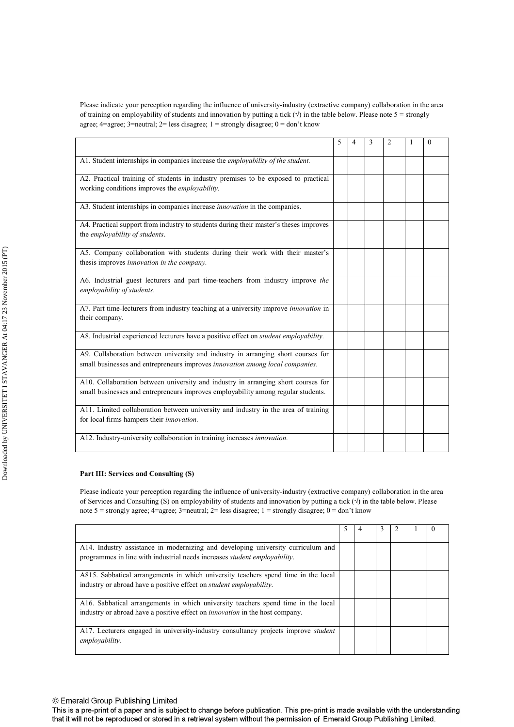Please indicate your perception regarding the influence of university-industry (extractive company) collaboration in the area of training on employability of students and innovation by putting a tick ( $\sqrt{ }$ ) in the table below. Please note 5 = strongly agree; 4=agree; 3=neutral; 2= less disagree; 1 = strongly disagree; 0 = don't know

|                                                                                                                                                                        | 5 | 4 | 3 | $\mathfrak{D}$ | $\Omega$ |
|------------------------------------------------------------------------------------------------------------------------------------------------------------------------|---|---|---|----------------|----------|
| A1. Student internships in companies increase the <i>employability of the student</i> .                                                                                |   |   |   |                |          |
| A2. Practical training of students in industry premises to be exposed to practical<br>working conditions improves the <i>employability</i> .                           |   |   |   |                |          |
| A3. Student internships in companies increase <i>innovation</i> in the companies.                                                                                      |   |   |   |                |          |
| A4. Practical support from industry to students during their master's theses improves<br>the employability of students.                                                |   |   |   |                |          |
| A5. Company collaboration with students during their work with their master's<br>thesis improves <i>innovation</i> in the company.                                     |   |   |   |                |          |
| A6. Industrial guest lecturers and part time-teachers from industry improve the<br>employability of students.                                                          |   |   |   |                |          |
| A7. Part time-lecturers from industry teaching at a university improve <i>innovation</i> in<br>their company.                                                          |   |   |   |                |          |
| A8. Industrial experienced lecturers have a positive effect on <i>student employability</i> .                                                                          |   |   |   |                |          |
| A9. Collaboration between university and industry in arranging short courses for<br>small businesses and entrepreneurs improves innovation among local companies.      |   |   |   |                |          |
| A10. Collaboration between university and industry in arranging short courses for<br>small businesses and entrepreneurs improves employability among regular students. |   |   |   |                |          |
| A11. Limited collaboration between university and industry in the area of training<br>for local firms hampers their innovation.                                        |   |   |   |                |          |
| A12. Industry-university collaboration in training increases innovation.                                                                                               |   |   |   |                |          |

#### **Part III: Services and Consulting (S)**

Please indicate your perception regarding the influence of university-industry (extractive company) collaboration in the area of Services and Consulting (S) on employability of students and innovation by putting a tick  $(\check{\vee})$  in the table below. Please note 5 = strongly agree; 4=agree; 3=neutral; 2= less disagree; 1 = strongly disagree; 0 = don't know

| A14. Industry assistance in modernizing and developing university curriculum and<br>programmes in line with industrial needs increases <i>student employability</i> .    |  |  |  |
|--------------------------------------------------------------------------------------------------------------------------------------------------------------------------|--|--|--|
| A815. Sabbatical arrangements in which university teachers spend time in the local<br>industry or abroad have a positive effect on <i>student employability</i> .        |  |  |  |
| A16. Sabbatical arrangements in which university teachers spend time in the local<br>industry or abroad have a positive effect on <i>innovation</i> in the host company. |  |  |  |
| A17. Lecturers engaged in university-industry consultancy projects improve <i>student</i><br>employability.                                                              |  |  |  |

© Emerald Group Publishing Limited